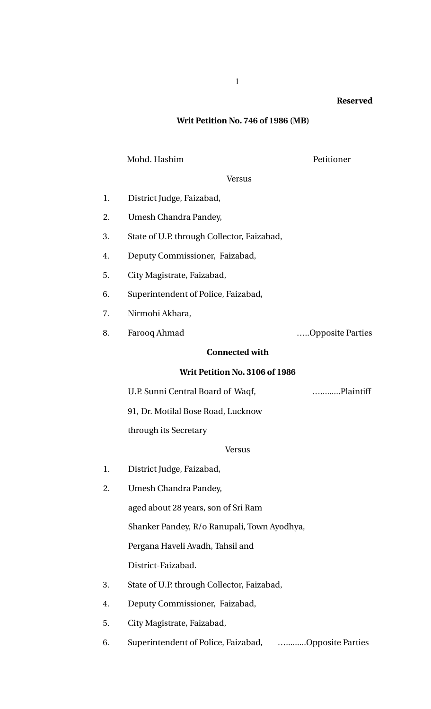### **Reserved**

# **Writ Petition No. 746 of 1986 (MB)**

## Mohd. Hashim Petitioner

**Versus** 

- 1. District Judge, Faizabad,
- 2. Umesh Chandra Pandey,
- 3. State of U.P. through Collector, Faizabad,
- 4. Deputy Commissioner, Faizabad,
- 5. City Magistrate, Faizabad,
- 6. Superintendent of Police, Faizabad,
- 7. Nirmohi Akhara,
- 8. Farooq Ahmad …..Opposite Parties

# **Connected with**

## **Writ Petition No. 3106 of 1986**

U.P. Sunni Central Board of Waqf, ….........Plaintiff

91, Dr. Motilal Bose Road, Lucknow

through its Secretary

## Versus

- 1. District Judge, Faizabad,
- 2. Umesh Chandra Pandey,

aged about 28 years, son of Sri Ram

Shanker Pandey, R/o Ranupali, Town Ayodhya,

Pergana Haveli Avadh, Tahsil and

District-Faizabad.

- 3. State of U.P. through Collector, Faizabad,
- 4. Deputy Commissioner, Faizabad,
- 5. City Magistrate, Faizabad,
- 6. Superintendent of Police, Faizabad, ….........Opposite Parties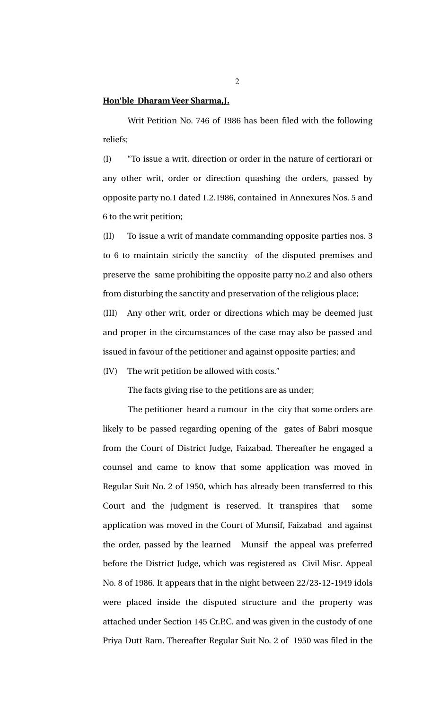### **Hon'ble Dharam Veer Sharma,J.**

Writ Petition No. 746 of 1986 has been filed with the following reliefs;

(I) "To issue a writ, direction or order in the nature of certiorari or any other writ, order or direction quashing the orders, passed by opposite party no.1 dated 1.2.1986, contained in Annexures Nos. 5 and 6 to the writ petition;

(II) To issue a writ of mandate commanding opposite parties nos. 3 to 6 to maintain strictly the sanctity of the disputed premises and preserve the same prohibiting the opposite party no.2 and also others from disturbing the sanctity and preservation of the religious place;

(III) Any other writ, order or directions which may be deemed just and proper in the circumstances of the case may also be passed and issued in favour of the petitioner and against opposite parties; and

(IV) The writ petition be allowed with costs."

The facts giving rise to the petitions are as under;

The petitioner heard a rumour in the city that some orders are likely to be passed regarding opening of the gates of Babri mosque from the Court of District Judge, Faizabad. Thereafter he engaged a counsel and came to know that some application was moved in Regular Suit No. 2 of 1950, which has already been transferred to this Court and the judgment is reserved. It transpires that some application was moved in the Court of Munsif, Faizabad and against the order, passed by the learned Munsif the appeal was preferred before the District Judge, which was registered as Civil Misc. Appeal No. 8 of 1986. It appears that in the night between 22/23-12-1949 idols were placed inside the disputed structure and the property was attached under Section 145 Cr.P.C. and was given in the custody of one Priya Dutt Ram. Thereafter Regular Suit No. 2 of 1950 was filed in the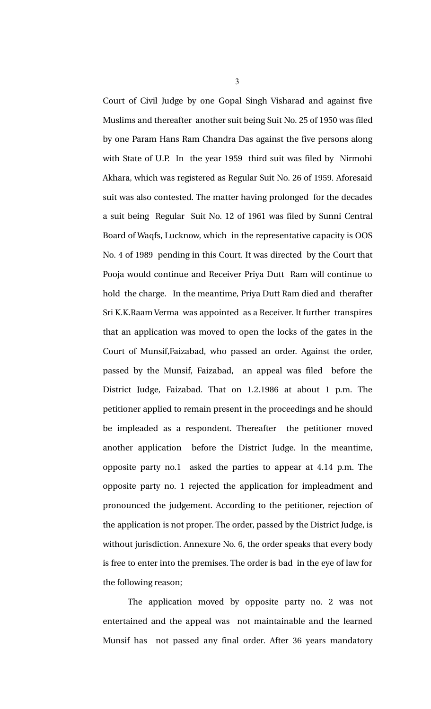Court of Civil Judge by one Gopal Singh Visharad and against five Muslims and thereafter another suit being Suit No. 25 of 1950 was filed by one Param Hans Ram Chandra Das against the five persons along with State of U.P. In the year 1959 third suit was filed by Nirmohi Akhara, which was registered as Regular Suit No. 26 of 1959. Aforesaid suit was also contested. The matter having prolonged for the decades a suit being Regular Suit No. 12 of 1961 was filed by Sunni Central Board of Waqfs, Lucknow, which in the representative capacity is OOS No. 4 of 1989 pending in this Court. It was directed by the Court that Pooja would continue and Receiver Priya Dutt Ram will continue to hold the charge. In the meantime, Priya Dutt Ram died and therafter Sri K.K.Raam Verma was appointed as a Receiver. It further transpires that an application was moved to open the locks of the gates in the Court of Munsif,Faizabad, who passed an order. Against the order, passed by the Munsif, Faizabad, an appeal was filed before the District Judge, Faizabad. That on 1.2.1986 at about 1 p.m. The petitioner applied to remain present in the proceedings and he should be impleaded as a respondent. Thereafter the petitioner moved another application before the District Judge. In the meantime, opposite party no.1 asked the parties to appear at  $4.14$  p.m. The opposite party no. 1 rejected the application for impleadment and pronounced the judgement. According to the petitioner, rejection of the application is not proper. The order, passed by the District Judge, is without jurisdiction. Annexure No. 6, the order speaks that every body is free to enter into the premises. The order is bad in the eye of law for the following reason;

The application moved by opposite party no. 2 was not entertained and the appeal was not maintainable and the learned Munsif has not passed any final order. After 36 years mandatory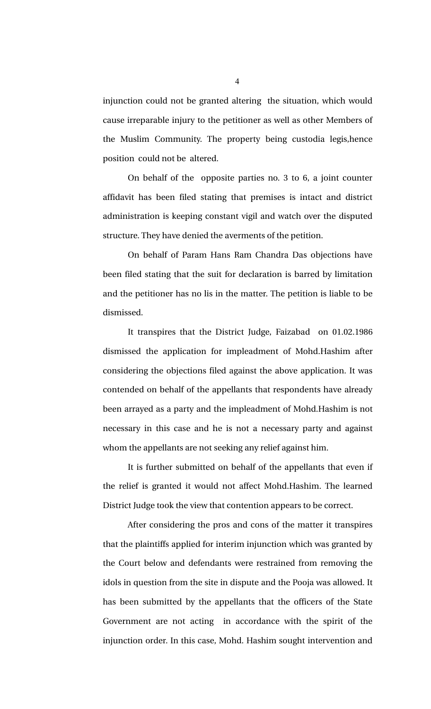injunction could not be granted altering the situation, which would cause irreparable injury to the petitioner as well as other Members of the Muslim Community. The property being custodia legis, hence position could not be altered.

On behalf of the opposite parties no. 3 to 6, a joint counter affidavit has been filed stating that premises is intact and district administration is keeping constant vigil and watch over the disputed structure. They have denied the averments of the petition.

On behalf of Param Hans Ram Chandra Das objections have been filed stating that the suit for declaration is barred by limitation and the petitioner has no lis in the matter. The petition is liable to be dismissed.

It transpires that the District Judge, Faizabad on 01.02.1986 dismissed the application for impleadment of Mohd.Hashim after considering the objections filed against the above application. It was contended on behalf of the appellants that respondents have already been arrayed as a party and the impleadment of Mohd.Hashim is not necessary in this case and he is not a necessary party and against whom the appellants are not seeking any relief against him.

It is further submitted on behalf of the appellants that even if the relief is granted it would not affect Mohd.Hashim. The learned District Judge took the view that contention appears to be correct.

After considering the pros and cons of the matter it transpires that the plaintiffs applied for interim injunction which was granted by the Court below and defendants were restrained from removing the idols in question from the site in dispute and the Pooja was allowed. It has been submitted by the appellants that the officers of the State Government are not acting in accordance with the spirit of the injunction order. In this case, Mohd. Hashim sought intervention and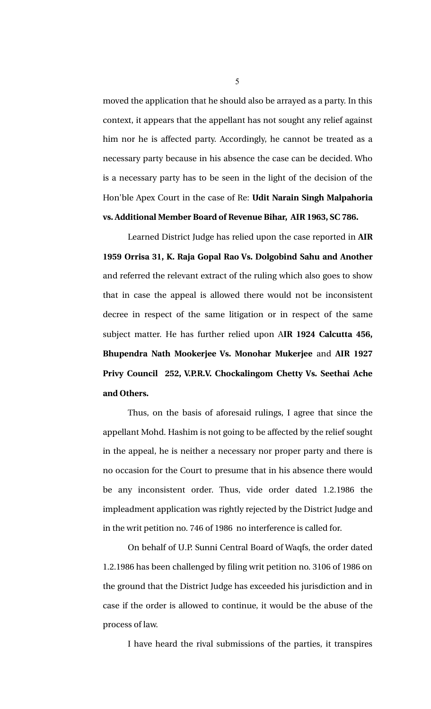moved the application that he should also be arrayed as a party. In this context, it appears that the appellant has not sought any relief against him nor he is affected party. Accordingly, he cannot be treated as a necessary party because in his absence the case can be decided. Who is a necessary party has to be seen in the light of the decision of the Hon'ble Apex Court in the case of Re: **Udit Narain Singh Malpahoria vs. Additional Member Board of Revenue Bihar, AIR 1963, SC 786.**

Learned District Judge has relied upon the case reported in **AIR 1959 Orrisa 31, K. Raja Gopal Rao Vs. Dolgobind Sahu and Another** and referred the relevant extract of the ruling which also goes to show that in case the appeal is allowed there would not be inconsistent decree in respect of the same litigation or in respect of the same subject matter. He has further relied upon A**IR 1924 Calcutta 456, Bhupendra Nath Mookerjee Vs. Monohar Mukerjee** and **AIR 1927 Privy Council 252, V.P.R.V. Chockalingom Chetty Vs. Seethai Ache and Others.** 

Thus, on the basis of aforesaid rulings, I agree that since the appellant Mohd. Hashim is not going to be affected by the relief sought in the appeal, he is neither a necessary nor proper party and there is no occasion for the Court to presume that in his absence there would be any inconsistent order. Thus, vide order dated 1.2.1986 the impleadment application was rightly rejected by the District Judge and in the writ petition no. 746 of 1986 no interference is called for.

On behalf of U.P. Sunni Central Board of Waqfs, the order dated 1.2.1986 has been challenged by filing writ petition no. 3106 of 1986 on the ground that the District Judge has exceeded his jurisdiction and in case if the order is allowed to continue, it would be the abuse of the process of law.

I have heard the rival submissions of the parties, it transpires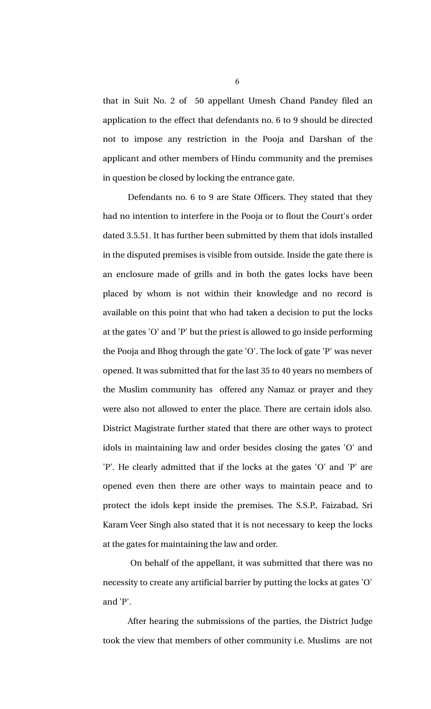that in Suit No. 2 of 50 appellant Umesh Chand Pandey filed an application to the effect that defendants no. 6 to 9 should be directed not to impose any restriction in the Pooja and Darshan of the applicant and other members of Hindu community and the premises in question be closed by locking the entrance gate.

Defendants no. 6 to 9 are State Officers. They stated that they had no intention to interfere in the Pooja or to flout the Court's order dated 3.5.51. It has further been submitted by them that idols installed in the disputed premises is visible from outside. Inside the gate there is an enclosure made of grills and in both the gates locks have been placed by whom is not within their knowledge and no record is available on this point that who had taken a decision to put the locks at the gates 'O' and 'P' but the priest is allowed to go inside performing the Pooja and Bhog through the gate 'O'. The lock of gate 'P' was never opened. It was submitted that for the last 35 to 40 years no members of the Muslim community has offered any Namaz or prayer and they were also not allowed to enter the place. There are certain idols also. District Magistrate further stated that there are other ways to protect idols in maintaining law and order besides closing the gates 'O' and 'P'. He clearly admitted that if the locks at the gates 'O' and 'P' are opened even then there are other ways to maintain peace and to protect the idols kept inside the premises. The S.S.P., Faizabad, Sri Karam Veer Singh also stated that it is not necessary to keep the locks at the gates for maintaining the law and order.

 On behalf of the appellant, it was submitted that there was no necessity to create any artificial barrier by putting the locks at gates 'O' and 'P'.

After hearing the submissions of the parties, the District Judge took the view that members of other community i.e. Muslims are not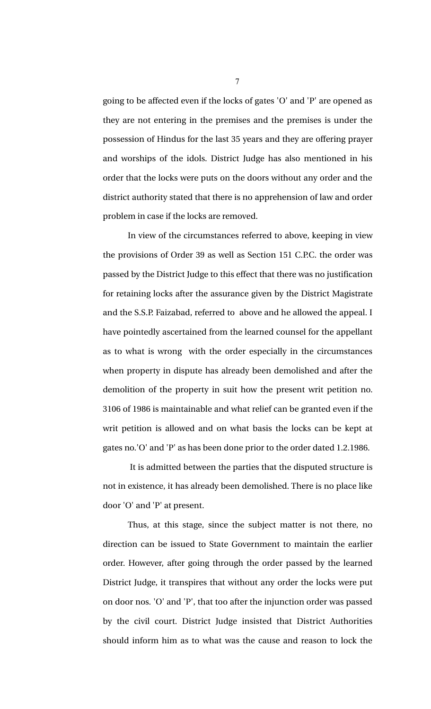going to be affected even if the locks of gates 'O' and 'P' are opened as they are not entering in the premises and the premises is under the possession of Hindus for the last 35 years and they are offering prayer and worships of the idols. District Judge has also mentioned in his order that the locks were puts on the doors without any order and the district authority stated that there is no apprehension of law and order problem in case if the locks are removed.

In view of the circumstances referred to above, keeping in view the provisions of Order 39 as well as Section 151 C.P.C. the order was passed by the District Judge to this effect that there was no justification for retaining locks after the assurance given by the District Magistrate and the S.S.P. Faizabad, referred to above and he allowed the appeal. I have pointedly ascertained from the learned counsel for the appellant as to what is wrong with the order especially in the circumstances when property in dispute has already been demolished and after the demolition of the property in suit how the present writ petition no. 3106 of 1986 is maintainable and what relief can be granted even if the writ petition is allowed and on what basis the locks can be kept at gates no.'O' and 'P' as has been done prior to the order dated 1.2.1986.

 It is admitted between the parties that the disputed structure is not in existence, it has already been demolished. There is no place like door 'O' and 'P' at present.

Thus, at this stage, since the subject matter is not there, no direction can be issued to State Government to maintain the earlier order. However, after going through the order passed by the learned District Judge, it transpires that without any order the locks were put on door nos. 'O' and 'P', that too after the injunction order was passed by the civil court. District Judge insisted that District Authorities should inform him as to what was the cause and reason to lock the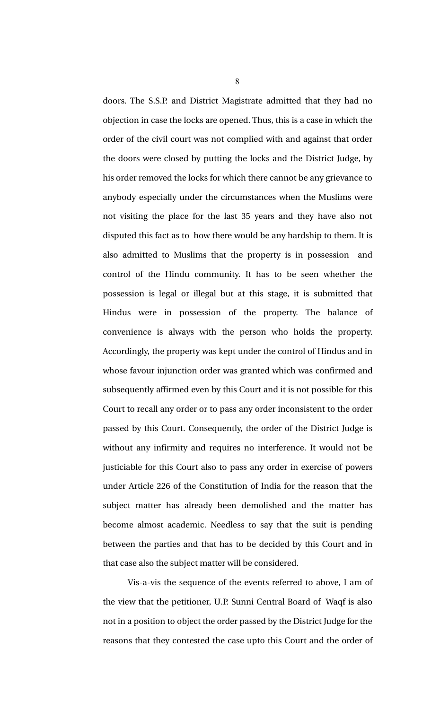doors. The S.S.P. and District Magistrate admitted that they had no objection in case the locks are opened. Thus, this is a case in which the order of the civil court was not complied with and against that order the doors were closed by putting the locks and the District Judge, by his order removed the locks for which there cannot be any grievance to anybody especially under the circumstances when the Muslims were not visiting the place for the last 35 years and they have also not disputed this fact as to how there would be any hardship to them. It is also admitted to Muslims that the property is in possession and control of the Hindu community. It has to be seen whether the possession is legal or illegal but at this stage, it is submitted that Hindus were in possession of the property. The balance of convenience is always with the person who holds the property. Accordingly, the property was kept under the control of Hindus and in whose favour injunction order was granted which was confirmed and subsequently affirmed even by this Court and it is not possible for this Court to recall any order or to pass any order inconsistent to the order passed by this Court. Consequently, the order of the District Judge is without any infirmity and requires no interference. It would not be justiciable for this Court also to pass any order in exercise of powers under Article 226 of the Constitution of India for the reason that the subject matter has already been demolished and the matter has become almost academic. Needless to say that the suit is pending between the parties and that has to be decided by this Court and in that case also the subject matter will be considered.

Vis-a-vis the sequence of the events referred to above, I am of the view that the petitioner, U.P. Sunni Central Board of Waqf is also not in a position to object the order passed by the District Judge for the reasons that they contested the case upto this Court and the order of